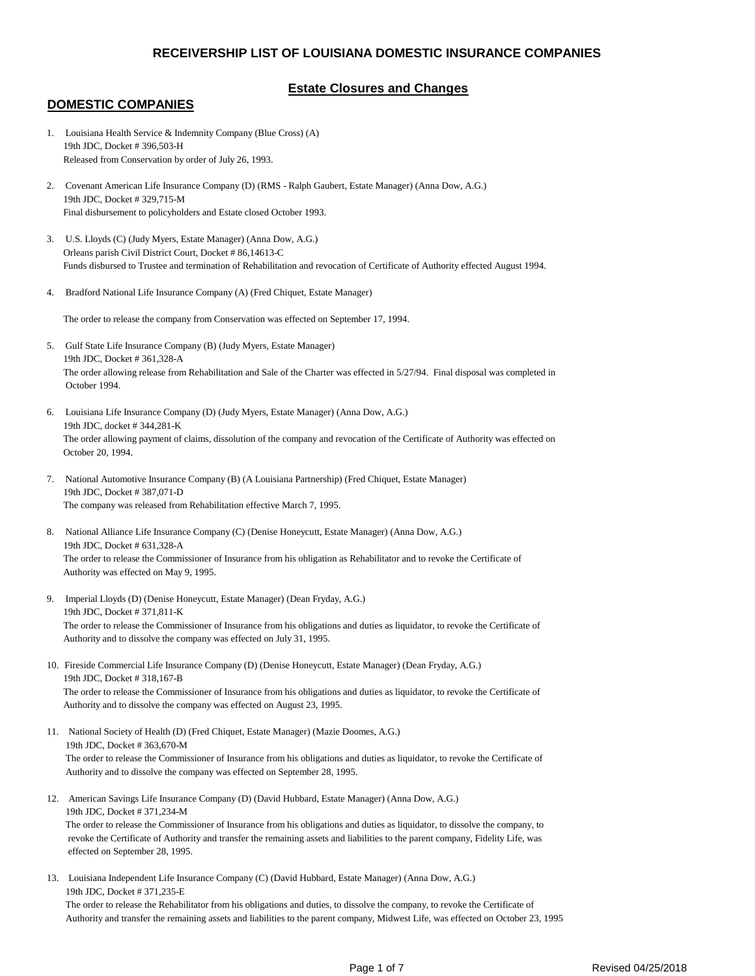# **Estate Closures and Changes**

### **DOMESTIC COMPANIES**

- 1. Louisiana Health Service & Indemnity Company (Blue Cross) (A) 19th JDC, Docket # 396,503-H Released from Conservation by order of July 26, 1993.
- 2. Covenant American Life Insurance Company (D) (RMS Ralph Gaubert, Estate Manager) (Anna Dow, A.G.) 19th JDC, Docket # 329,715-M Final disbursement to policyholders and Estate closed October 1993.
- 3. U.S. Lloyds (C) (Judy Myers, Estate Manager) (Anna Dow, A.G.) Orleans parish Civil District Court, Docket # 86,14613-C Funds disbursed to Trustee and termination of Rehabilitation and revocation of Certificate of Authority effected August 1994.
- 4. Bradford National Life Insurance Company (A) (Fred Chiquet, Estate Manager)

The order to release the company from Conservation was effected on September 17, 1994.

- 5. Gulf State Life Insurance Company (B) (Judy Myers, Estate Manager) 19th JDC, Docket # 361,328-A The order allowing release from Rehabilitation and Sale of the Charter was effected in 5/27/94. Final disposal was completed in October 1994.
- 6. Louisiana Life Insurance Company (D) (Judy Myers, Estate Manager) (Anna Dow, A.G.) 19th JDC, docket # 344,281-K The order allowing payment of claims, dissolution of the company and revocation of the Certificate of Authority was effected on October 20, 1994.
- 7. National Automotive Insurance Company (B) (A Louisiana Partnership) (Fred Chiquet, Estate Manager) 19th JDC, Docket # 387,071-D The company was released from Rehabilitation effective March 7, 1995.
- 8. National Alliance Life Insurance Company (C) (Denise Honeycutt, Estate Manager) (Anna Dow, A.G.) 19th JDC, Docket # 631,328-A The order to release the Commissioner of Insurance from his obligation as Rehabilitator and to revoke the Certificate of Authority was effected on May 9, 1995.
- 9. Imperial Lloyds (D) (Denise Honeycutt, Estate Manager) (Dean Fryday, A.G.) 19th JDC, Docket # 371,811-K The order to release the Commissioner of Insurance from his obligations and duties as liquidator, to revoke the Certificate of Authority and to dissolve the company was effected on July 31, 1995.
- 10. Fireside Commercial Life Insurance Company (D) (Denise Honeycutt, Estate Manager) (Dean Fryday, A.G.) 19th JDC, Docket # 318,167-B The order to release the Commissioner of Insurance from his obligations and duties as liquidator, to revoke the Certificate of Authority and to dissolve the company was effected on August 23, 1995.
- 11. National Society of Health (D) (Fred Chiquet, Estate Manager) (Mazie Doomes, A.G.) 19th JDC, Docket # 363,670-M The order to release the Commissioner of Insurance from his obligations and duties as liquidator, to revoke the Certificate of Authority and to dissolve the company was effected on September 28, 1995.
- 12. American Savings Life Insurance Company (D) (David Hubbard, Estate Manager) (Anna Dow, A.G.) 19th JDC, Docket # 371,234-M

 The order to release the Commissioner of Insurance from his obligations and duties as liquidator, to dissolve the company, to revoke the Certificate of Authority and transfer the remaining assets and liabilities to the parent company, Fidelity Life, was effected on September 28, 1995.

13. Louisiana Independent Life Insurance Company (C) (David Hubbard, Estate Manager) (Anna Dow, A.G.) 19th JDC, Docket # 371,235-E The order to release the Rehabilitator from his obligations and duties, to dissolve the company, to revoke the Certificate of Authority and transfer the remaining assets and liabilities to the parent company, Midwest Life, was effected on October 23, 1995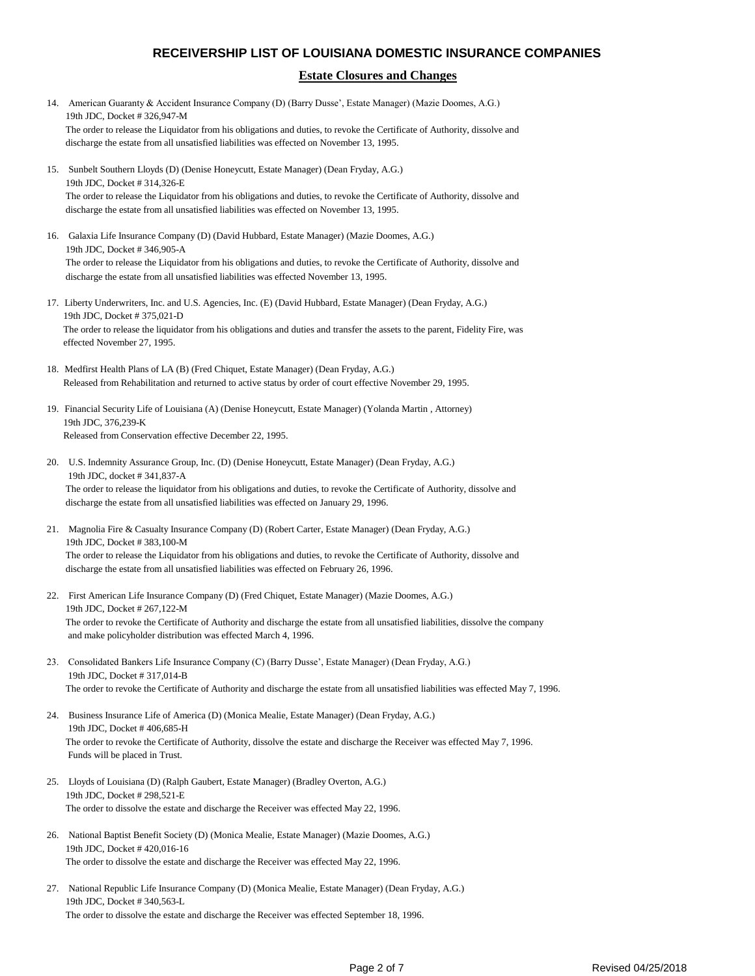#### **Estate Closures and Changes**

- 14. American Guaranty & Accident Insurance Company (D) (Barry Dusse', Estate Manager) (Mazie Doomes, A.G.) 19th JDC, Docket # 326,947-M The order to release the Liquidator from his obligations and duties, to revoke the Certificate of Authority, dissolve and discharge the estate from all unsatisfied liabilities was effected on November 13, 1995.
- 15. Sunbelt Southern Lloyds (D) (Denise Honeycutt, Estate Manager) (Dean Fryday, A.G.) 19th JDC, Docket # 314,326-E The order to release the Liquidator from his obligations and duties, to revoke the Certificate of Authority, dissolve and discharge the estate from all unsatisfied liabilities was effected on November 13, 1995.
- 16. Galaxia Life Insurance Company (D) (David Hubbard, Estate Manager) (Mazie Doomes, A.G.) 19th JDC, Docket # 346,905-A The order to release the Liquidator from his obligations and duties, to revoke the Certificate of Authority, dissolve and discharge the estate from all unsatisfied liabilities was effected November 13, 1995.
- 17. Liberty Underwriters, Inc. and U.S. Agencies, Inc. (E) (David Hubbard, Estate Manager) (Dean Fryday, A.G.) 19th JDC, Docket # 375,021-D The order to release the liquidator from his obligations and duties and transfer the assets to the parent, Fidelity Fire, was effected November 27, 1995.
- 18. Medfirst Health Plans of LA (B) (Fred Chiquet, Estate Manager) (Dean Fryday, A.G.) Released from Rehabilitation and returned to active status by order of court effective November 29, 1995.
- 19. Financial Security Life of Louisiana (A) (Denise Honeycutt, Estate Manager) (Yolanda Martin , Attorney) 19th JDC, 376,239-K Released from Conservation effective December 22, 1995.
- 20. U.S. Indemnity Assurance Group, Inc. (D) (Denise Honeycutt, Estate Manager) (Dean Fryday, A.G.) 19th JDC, docket # 341,837-A The order to release the liquidator from his obligations and duties, to revoke the Certificate of Authority, dissolve and discharge the estate from all unsatisfied liabilities was effected on January 29, 1996.
- 21. Magnolia Fire & Casualty Insurance Company (D) (Robert Carter, Estate Manager) (Dean Fryday, A.G.) 19th JDC, Docket # 383,100-M The order to release the Liquidator from his obligations and duties, to revoke the Certificate of Authority, dissolve and discharge the estate from all unsatisfied liabilities was effected on February 26, 1996.
- 22. First American Life Insurance Company (D) (Fred Chiquet, Estate Manager) (Mazie Doomes, A.G.) 19th JDC, Docket # 267,122-M The order to revoke the Certificate of Authority and discharge the estate from all unsatisfied liabilities, dissolve the company and make policyholder distribution was effected March 4, 1996.
- 23. Consolidated Bankers Life Insurance Company (C) (Barry Dusse', Estate Manager) (Dean Fryday, A.G.) 19th JDC, Docket # 317,014-B The order to revoke the Certificate of Authority and discharge the estate from all unsatisfied liabilities was effected May 7, 1996.
- 24. Business Insurance Life of America (D) (Monica Mealie, Estate Manager) (Dean Fryday, A.G.) 19th JDC, Docket # 406,685-H The order to revoke the Certificate of Authority, dissolve the estate and discharge the Receiver was effected May 7, 1996. Funds will be placed in Trust.
- 25. Lloyds of Louisiana (D) (Ralph Gaubert, Estate Manager) (Bradley Overton, A.G.) 19th JDC, Docket # 298,521-E The order to dissolve the estate and discharge the Receiver was effected May 22, 1996.
- 26. National Baptist Benefit Society (D) (Monica Mealie, Estate Manager) (Mazie Doomes, A.G.) 19th JDC, Docket # 420,016-16 The order to dissolve the estate and discharge the Receiver was effected May 22, 1996.
- 27. National Republic Life Insurance Company (D) (Monica Mealie, Estate Manager) (Dean Fryday, A.G.) 19th JDC, Docket # 340,563-L The order to dissolve the estate and discharge the Receiver was effected September 18, 1996.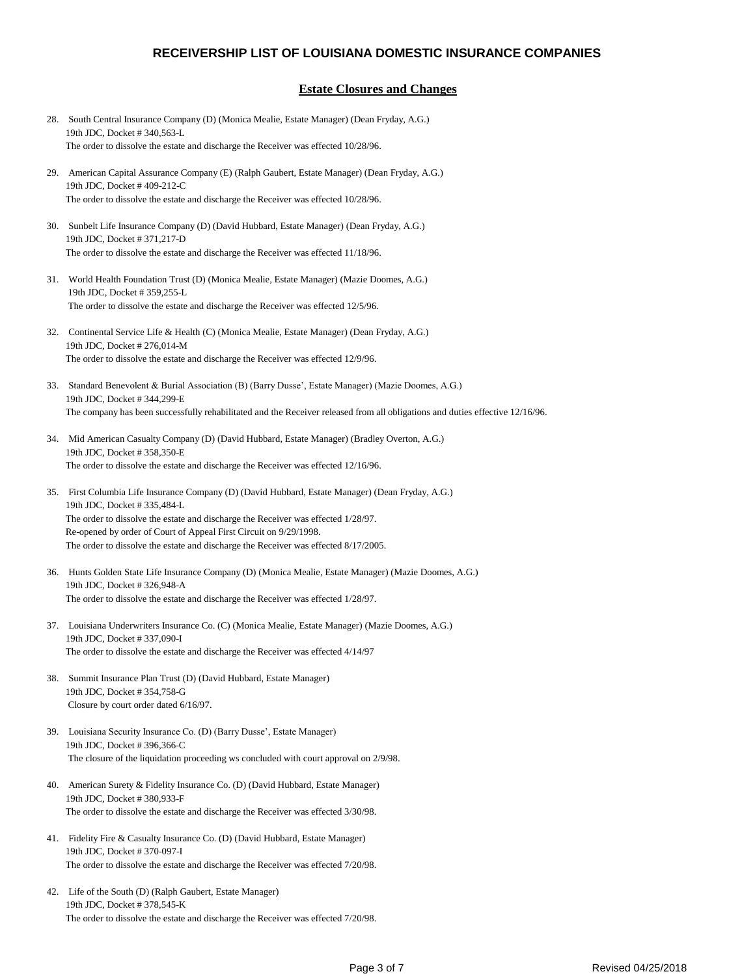#### **Estate Closures and Changes**

28. South Central Insurance Company (D) (Monica Mealie, Estate Manager) (Dean Fryday, A.G.) 19th JDC, Docket # 340,563-L The order to dissolve the estate and discharge the Receiver was effected 10/28/96. 29. American Capital Assurance Company (E) (Ralph Gaubert, Estate Manager) (Dean Fryday, A.G.) 19th JDC, Docket # 409-212-C The order to dissolve the estate and discharge the Receiver was effected 10/28/96. 30. Sunbelt Life Insurance Company (D) (David Hubbard, Estate Manager) (Dean Fryday, A.G.) 19th JDC, Docket # 371,217-D The order to dissolve the estate and discharge the Receiver was effected 11/18/96. 31. World Health Foundation Trust (D) (Monica Mealie, Estate Manager) (Mazie Doomes, A.G.) 19th JDC, Docket # 359,255-L The order to dissolve the estate and discharge the Receiver was effected 12/5/96. 32. Continental Service Life & Health (C) (Monica Mealie, Estate Manager) (Dean Fryday, A.G.) 19th JDC, Docket # 276,014-M The order to dissolve the estate and discharge the Receiver was effected 12/9/96. 33. Standard Benevolent & Burial Association (B) (Barry Dusse', Estate Manager) (Mazie Doomes, A.G.) 19th JDC, Docket # 344,299-E The company has been successfully rehabilitated and the Receiver released from all obligations and duties effective 12/16/96. 34. Mid American Casualty Company (D) (David Hubbard, Estate Manager) (Bradley Overton, A.G.) 19th JDC, Docket # 358,350-E The order to dissolve the estate and discharge the Receiver was effected 12/16/96. 35. First Columbia Life Insurance Company (D) (David Hubbard, Estate Manager) (Dean Fryday, A.G.) 19th JDC, Docket # 335,484-L The order to dissolve the estate and discharge the Receiver was effected 1/28/97. Re-opened by order of Court of Appeal First Circuit on 9/29/1998. The order to dissolve the estate and discharge the Receiver was effected 8/17/2005. 36. Hunts Golden State Life Insurance Company (D) (Monica Mealie, Estate Manager) (Mazie Doomes, A.G.) 19th JDC, Docket # 326,948-A The order to dissolve the estate and discharge the Receiver was effected 1/28/97. 37. Louisiana Underwriters Insurance Co. (C) (Monica Mealie, Estate Manager) (Mazie Doomes, A.G.) 19th JDC, Docket # 337,090-I The order to dissolve the estate and discharge the Receiver was effected 4/14/97 38. Summit Insurance Plan Trust (D) (David Hubbard, Estate Manager) 19th JDC, Docket # 354,758-G Closure by court order dated 6/16/97. 39. Louisiana Security Insurance Co. (D) (Barry Dusse', Estate Manager) 19th JDC, Docket # 396,366-C The closure of the liquidation proceeding ws concluded with court approval on 2/9/98. 40. American Surety & Fidelity Insurance Co. (D) (David Hubbard, Estate Manager) 19th JDC, Docket # 380,933-F The order to dissolve the estate and discharge the Receiver was effected 3/30/98. 41. Fidelity Fire & Casualty Insurance Co. (D) (David Hubbard, Estate Manager) 19th JDC, Docket # 370-097-I The order to dissolve the estate and discharge the Receiver was effected 7/20/98. 42. Life of the South (D) (Ralph Gaubert, Estate Manager) 19th JDC, Docket # 378,545-K The order to dissolve the estate and discharge the Receiver was effected 7/20/98.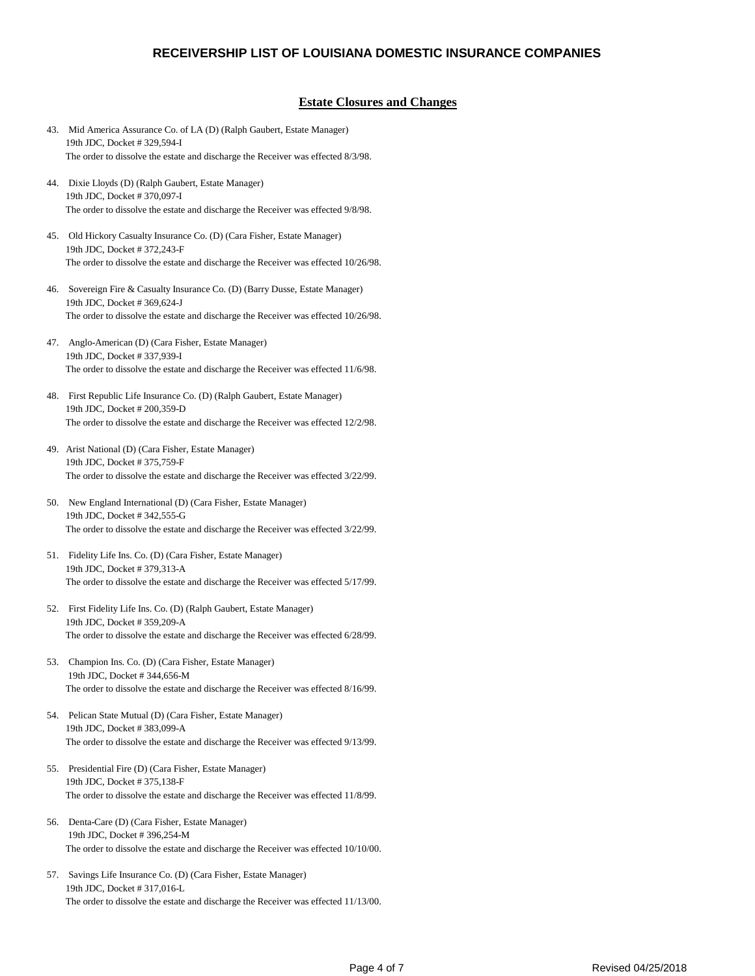#### **Estate Closures and Changes**

- 43. Mid America Assurance Co. of LA (D) (Ralph Gaubert, Estate Manager) 19th JDC, Docket # 329,594-I The order to dissolve the estate and discharge the Receiver was effected 8/3/98.
- 44. Dixie Lloyds (D) (Ralph Gaubert, Estate Manager) 19th JDC, Docket # 370,097-I The order to dissolve the estate and discharge the Receiver was effected 9/8/98.
- 45. Old Hickory Casualty Insurance Co. (D) (Cara Fisher, Estate Manager) 19th JDC, Docket # 372,243-F The order to dissolve the estate and discharge the Receiver was effected 10/26/98.
- 46. Sovereign Fire & Casualty Insurance Co. (D) (Barry Dusse, Estate Manager) 19th JDC, Docket # 369,624-J The order to dissolve the estate and discharge the Receiver was effected 10/26/98.
- 47. Anglo-American (D) (Cara Fisher, Estate Manager) 19th JDC, Docket # 337,939-I The order to dissolve the estate and discharge the Receiver was effected 11/6/98.
- 48. First Republic Life Insurance Co. (D) (Ralph Gaubert, Estate Manager) 19th JDC, Docket # 200,359-D The order to dissolve the estate and discharge the Receiver was effected 12/2/98.
- 49. Arist National (D) (Cara Fisher, Estate Manager) 19th JDC, Docket # 375,759-F The order to dissolve the estate and discharge the Receiver was effected 3/22/99.
- 50. New England International (D) (Cara Fisher, Estate Manager) 19th JDC, Docket # 342,555-G The order to dissolve the estate and discharge the Receiver was effected 3/22/99.
- 51. Fidelity Life Ins. Co. (D) (Cara Fisher, Estate Manager) 19th JDC, Docket # 379,313-A The order to dissolve the estate and discharge the Receiver was effected 5/17/99.
- 52. First Fidelity Life Ins. Co. (D) (Ralph Gaubert, Estate Manager) 19th JDC, Docket # 359,209-A The order to dissolve the estate and discharge the Receiver was effected 6/28/99.
- 53. Champion Ins. Co. (D) (Cara Fisher, Estate Manager) 19th JDC, Docket # 344,656-M The order to dissolve the estate and discharge the Receiver was effected 8/16/99.
- 54. Pelican State Mutual (D) (Cara Fisher, Estate Manager) 19th JDC, Docket # 383,099-A The order to dissolve the estate and discharge the Receiver was effected 9/13/99.
- 55. Presidential Fire (D) (Cara Fisher, Estate Manager) 19th JDC, Docket # 375,138-F The order to dissolve the estate and discharge the Receiver was effected 11/8/99.
- 56. Denta-Care (D) (Cara Fisher, Estate Manager) 19th JDC, Docket # 396,254-M The order to dissolve the estate and discharge the Receiver was effected 10/10/00.
- 57. Savings Life Insurance Co. (D) (Cara Fisher, Estate Manager) 19th JDC, Docket # 317,016-L The order to dissolve the estate and discharge the Receiver was effected 11/13/00.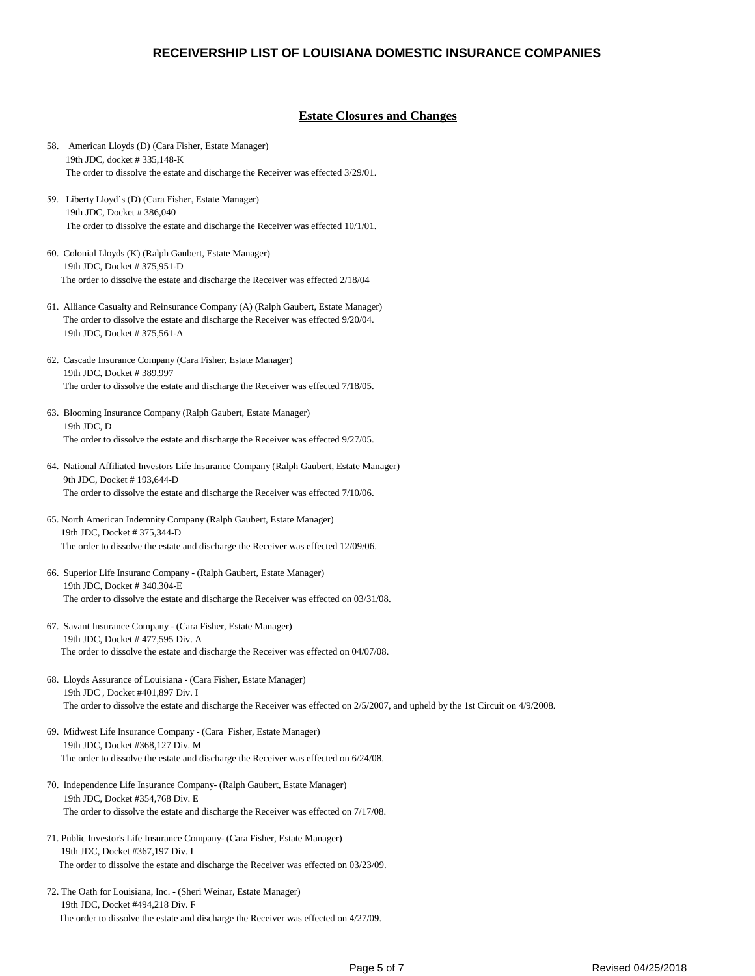#### **Estate Closures and Changes**

- 58. American Lloyds (D) (Cara Fisher, Estate Manager) 19th JDC, docket # 335,148-K The order to dissolve the estate and discharge the Receiver was effected 3/29/01. 59. Liberty Lloyd's (D) (Cara Fisher, Estate Manager) 19th JDC, Docket # 386,040 The order to dissolve the estate and discharge the Receiver was effected 10/1/01. 60. Colonial Lloyds (K) (Ralph Gaubert, Estate Manager) 19th JDC, Docket # 375,951-D The order to dissolve the estate and discharge the Receiver was effected 2/18/04 61. Alliance Casualty and Reinsurance Company (A) (Ralph Gaubert, Estate Manager) The order to dissolve the estate and discharge the Receiver was effected 9/20/04. 19th JDC, Docket # 375,561-A 62. Cascade Insurance Company (Cara Fisher, Estate Manager) 19th JDC, Docket # 389,997 The order to dissolve the estate and discharge the Receiver was effected 7/18/05. 63. Blooming Insurance Company (Ralph Gaubert, Estate Manager) 19th JDC, D The order to dissolve the estate and discharge the Receiver was effected 9/27/05. 64. National Affiliated Investors Life Insurance Company (Ralph Gaubert, Estate Manager) 9th JDC, Docket # 193,644-D The order to dissolve the estate and discharge the Receiver was effected 7/10/06. 65. North American Indemnity Company (Ralph Gaubert, Estate Manager) 19th JDC, Docket # 375,344-D The order to dissolve the estate and discharge the Receiver was effected 12/09/06. 66. Superior Life Insuranc Company - (Ralph Gaubert, Estate Manager) 19th JDC, Docket # 340,304-E The order to dissolve the estate and discharge the Receiver was effected on 03/31/08. 67. Savant Insurance Company - (Cara Fisher, Estate Manager) 19th JDC, Docket # 477,595 Div. A The order to dissolve the estate and discharge the Receiver was effected on 04/07/08. 68. Lloyds Assurance of Louisiana - (Cara Fisher, Estate Manager) 19th JDC , Docket #401,897 Div. I The order to dissolve the estate and discharge the Receiver was effected on 2/5/2007, and upheld by the 1st Circuit on 4/9/2008. 69. Midwest Life Insurance Company - (Cara Fisher, Estate Manager) 19th JDC, Docket #368,127 Div. M The order to dissolve the estate and discharge the Receiver was effected on 6/24/08. 70. Independence Life Insurance Company- (Ralph Gaubert, Estate Manager) 19th JDC, Docket #354,768 Div. E The order to dissolve the estate and discharge the Receiver was effected on 7/17/08. 71. Public Investor's Life Insurance Company- (Cara Fisher, Estate Manager) 19th JDC, Docket #367,197 Div. I The order to dissolve the estate and discharge the Receiver was effected on 03/23/09.
- 72. The Oath for Louisiana, Inc. (Sheri Weinar, Estate Manager) 19th JDC, Docket #494,218 Div. F The order to dissolve the estate and discharge the Receiver was effected on 4/27/09.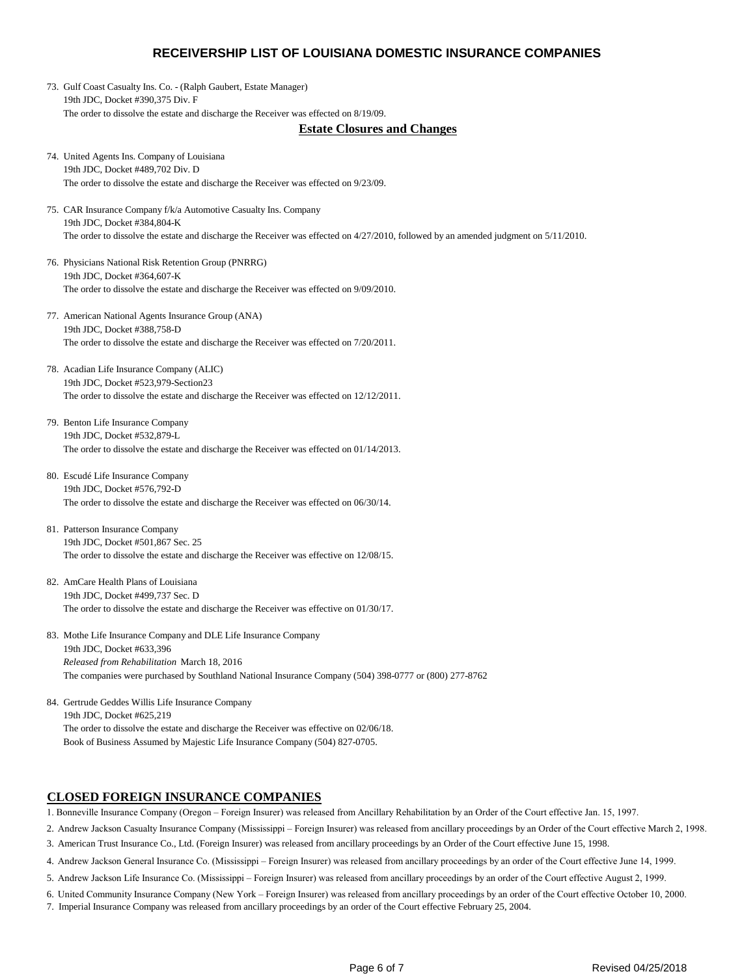73. Gulf Coast Casualty Ins. Co. - (Ralph Gaubert, Estate Manager) 19th JDC, Docket #390,375 Div. F The order to dissolve the estate and discharge the Receiver was effected on 8/19/09.

#### **Estate Closures and Changes**

- 74. United Agents Ins. Company of Louisiana 19th JDC, Docket #489,702 Div. D The order to dissolve the estate and discharge the Receiver was effected on 9/23/09.
- 75. CAR Insurance Company f/k/a Automotive Casualty Ins. Company 19th JDC, Docket #384,804-K The order to dissolve the estate and discharge the Receiver was effected on 4/27/2010, followed by an amended judgment on 5/11/2010.
- 76. Physicians National Risk Retention Group (PNRRG) 19th JDC, Docket #364,607-K The order to dissolve the estate and discharge the Receiver was effected on 9/09/2010.
- 77. American National Agents Insurance Group (ANA) 19th JDC, Docket #388,758-D The order to dissolve the estate and discharge the Receiver was effected on 7/20/2011.
- 78. Acadian Life Insurance Company (ALIC) 19th JDC, Docket #523,979-Section23 The order to dissolve the estate and discharge the Receiver was effected on 12/12/2011.
- 79. Benton Life Insurance Company 19th JDC, Docket #532,879-L The order to dissolve the estate and discharge the Receiver was effected on 01/14/2013.
- 80. Escudé Life Insurance Company 19th JDC, Docket #576,792-D The order to dissolve the estate and discharge the Receiver was effected on 06/30/14.
- 81. Patterson Insurance Company 19th JDC, Docket #501,867 Sec. 25 The order to dissolve the estate and discharge the Receiver was effective on 12/08/15.
- 82. AmCare Health Plans of Louisiana 19th JDC, Docket #499,737 Sec. D The order to dissolve the estate and discharge the Receiver was effective on 01/30/17.
- 83. Mothe Life Insurance Company and DLE Life Insurance Company 19th JDC, Docket #633,396 *Released from Rehabilitation* March 18, 2016 The companies were purchased by Southland National Insurance Company (504) 398-0777 or (800) 277-8762
- 84. Gertrude Geddes Willis Life Insurance Company 19th JDC, Docket #625,219 The order to dissolve the estate and discharge the Receiver was effective on 02/06/18. Book of Business Assumed by Majestic Life Insurance Company (504) 827-0705.

### **CLOSED FOREIGN INSURANCE COMPANIES**

1. Bonneville Insurance Company (Oregon – Foreign Insurer) was released from Ancillary Rehabilitation by an Order of the Court effective Jan. 15, 1997.

- 2. Andrew Jackson Casualty Insurance Company (Mississippi Foreign Insurer) was released from ancillary proceedings by an Order of the Court effective March 2, 1998. 3. American Trust Insurance Co., Ltd. (Foreign Insurer) was released from ancillary proceedings by an Order of the Court effective June 15, 1998.
- 4. Andrew Jackson General Insurance Co. (Mississippi Foreign Insurer) was released from ancillary proceedings by an order of the Court effective June 14, 1999.
- 5. Andrew Jackson Life Insurance Co. (Mississippi Foreign Insurer) was released from ancillary proceedings by an order of the Court effective August 2, 1999.
- 6. United Community Insurance Company (New York Foreign Insurer) was released from ancillary proceedings by an order of the Court effective October 10, 2000.
- 7. Imperial Insurance Company was released from ancillary proceedings by an order of the Court effective February 25, 2004.